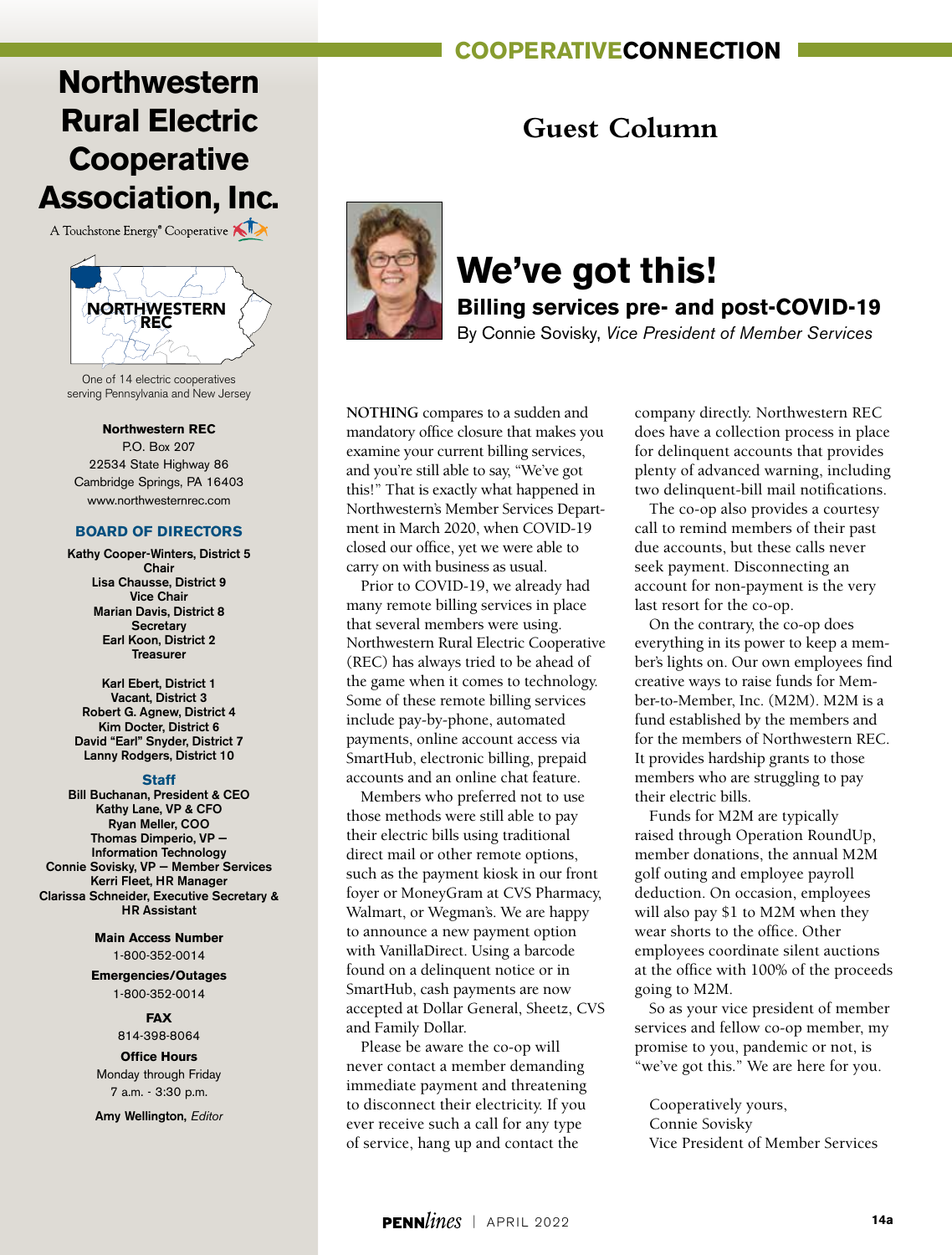### **cooperativeconnection**

# **Northwestern Rural Electric Cooperative Association, Inc.**

A Touchstone Energy<sup>®</sup> Cooperative



One of 14 electric cooperatives serving Pennsylvania and New Jersey

#### **Northwestern REC**

P.O. Box 207 22534 State Highway 86 Cambridge Springs, PA 16403 www.northwesternrec.com

#### **BOARD OF DIRECTORS**

Kathy Cooper-Winters, District 5 Chair Lisa Chausse, District 9 Vice Chair Marian Davis, District 8 **Secretary** Earl Koon, District 2 Treasurer

Karl Ebert, District 1 Vacant, District 3 Robert G. Agnew, District 4 Kim Docter, District 6 David "Earl" Snyder, District 7 Lanny Rodgers, District 10

#### **Staff**

Bill Buchanan, President & CEO Kathy Lane, VP & CFO Ryan Meller, COO Thomas Dimperio, VP — Information Technology Connie Sovisky, VP — Member Services Kerri Fleet, HR Manager Clarissa Schneider, Executive Secretary & HR Assistant

> **Main Access Number** 1-800-352-0014

**Emergencies/Outages** 1-800-352-0014

#### **FAX**

814-398-8064

**Office Hours** Monday through Friday 7 a.m. - 3:30 p.m.

Amy Wellington, *Editor*

### **Guest Column**



### **We've got this! Billing services pre- and post-COVID-19**

By Connie Sovisky, *Vice President of Member Services*

**NOTHING** compares to a sudden and mandatory office closure that makes you examine your current billing services, and you're still able to say, "We've got this!" That is exactly what happened in Northwestern's Member Services Department in March 2020, when COVID-19 closed our office, yet we were able to carry on with business as usual.

Prior to COVID-19, we already had many remote billing services in place that several members were using. Northwestern Rural Electric Cooperative (REC) has always tried to be ahead of the game when it comes to technology. Some of these remote billing services include pay-by-phone, automated payments, online account access via SmartHub, electronic billing, prepaid accounts and an online chat feature.

Members who preferred not to use those methods were still able to pay their electric bills using traditional direct mail or other remote options, such as the payment kiosk in our front foyer or MoneyGram at CVS Pharmacy, Walmart, or Wegman's. We are happy to announce a new payment option with VanillaDirect. Using a barcode found on a delinquent notice or in SmartHub, cash payments are now accepted at Dollar General, Sheetz, CVS and Family Dollar.

Please be aware the co-op will never contact a member demanding immediate payment and threatening to disconnect their electricity. If you ever receive such a call for any type of service, hang up and contact the

company directly. Northwestern REC does have a collection process in place for delinquent accounts that provides plenty of advanced warning, including two delinquent-bill mail notifications.

The co-op also provides a courtesy call to remind members of their past due accounts, but these calls never seek payment. Disconnecting an account for non-payment is the very last resort for the co-op.

On the contrary, the co-op does everything in its power to keep a member's lights on. Our own employees find creative ways to raise funds for Member-to-Member, Inc. (M2M). M2M is a fund established by the members and for the members of Northwestern REC. It provides hardship grants to those members who are struggling to pay their electric bills.

Funds for M2M are typically raised through Operation RoundUp, member donations, the annual M2M golf outing and employee payroll deduction. On occasion, employees will also pay \$1 to M2M when they wear shorts to the office. Other employees coordinate silent auctions at the office with 100% of the proceeds going to M2M.

So as your vice president of member services and fellow co-op member, my promise to you, pandemic or not, is "we've got this." We are here for you.

Cooperatively yours, Connie Sovisky Vice President of Member Services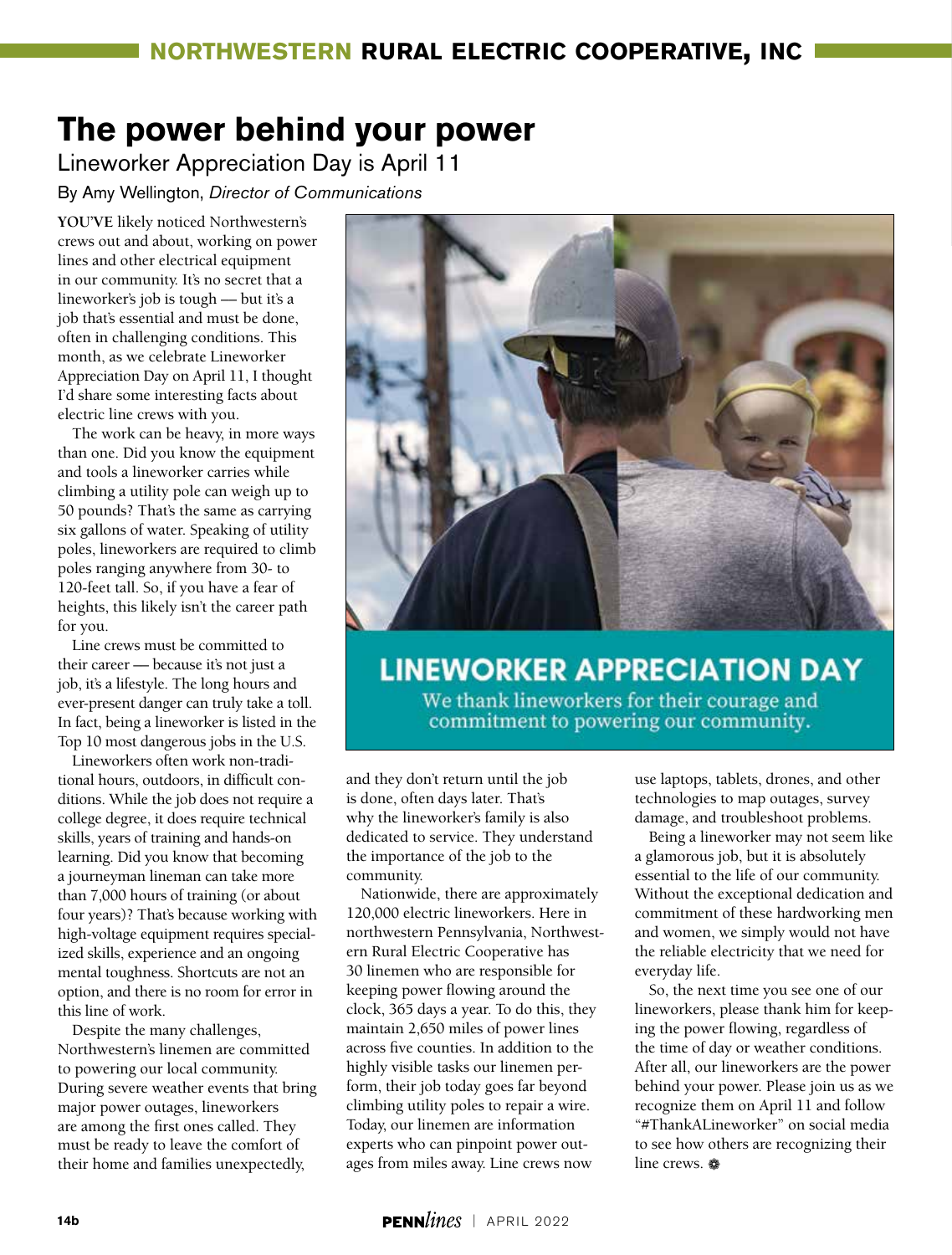# **The power behind your power**

Lineworker Appreciation Day is April 11

By Amy Wellington, *Director of Communications*

**YOU'VE** likely noticed Northwestern's crews out and about, working on power lines and other electrical equipment in our community. It's no secret that a lineworker's job is tough –– but it's a job that's essential and must be done, often in challenging conditions. This month, as we celebrate Lineworker Appreciation Day on April 11, I thought I'd share some interesting facts about electric line crews with you.

The work can be heavy, in more ways than one. Did you know the equipment and tools a lineworker carries while climbing a utility pole can weigh up to 50 pounds? That's the same as carrying six gallons of water. Speaking of utility poles, lineworkers are required to climb poles ranging anywhere from 30- to 120-feet tall. So, if you have a fear of heights, this likely isn't the career path for you.

Line crews must be committed to their career –– because it's not just a job, it's a lifestyle. The long hours and ever-present danger can truly take a toll. In fact, being a lineworker is listed in the Top 10 most dangerous jobs in the U.S.

Lineworkers often work non-traditional hours, outdoors, in difficult conditions. While the job does not require a college degree, it does require technical skills, years of training and hands-on learning. Did you know that becoming a journeyman lineman can take more than 7,000 hours of training (or about four years)? That's because working with high-voltage equipment requires specialized skills, experience and an ongoing mental toughness. Shortcuts are not an option, and there is no room for error in this line of work.

Despite the many challenges, Northwestern's linemen are committed to powering our local community. During severe weather events that bring major power outages, lineworkers are among the first ones called. They must be ready to leave the comfort of their home and families unexpectedly,



### **LINEWORKER APPRECIATION DAY**

We thank lineworkers for their courage and commitment to powering our community.

and they don't return until the job is done, often days later. That's why the lineworker's family is also dedicated to service. They understand the importance of the job to the community.

Nationwide, there are approximately 120,000 electric lineworkers. Here in northwestern Pennsylvania, Northwestern Rural Electric Cooperative has 30 linemen who are responsible for keeping power flowing around the clock, 365 days a year. To do this, they maintain 2,650 miles of power lines across five counties. In addition to the highly visible tasks our linemen perform, their job today goes far beyond climbing utility poles to repair a wire. Today, our linemen are information experts who can pinpoint power outages from miles away. Line crews now

use laptops, tablets, drones, and other technologies to map outages, survey damage, and troubleshoot problems.

Being a lineworker may not seem like a glamorous job, but it is absolutely essential to the life of our community. Without the exceptional dedication and commitment of these hardworking men and women, we simply would not have the reliable electricity that we need for everyday life.

So, the next time you see one of our lineworkers, please thank him for keeping the power flowing, regardless of the time of day or weather conditions. After all, our lineworkers are the power behind your power. Please join us as we recognize them on April 11 and follow "#ThankALineworker" on social media to see how others are recognizing their line crews.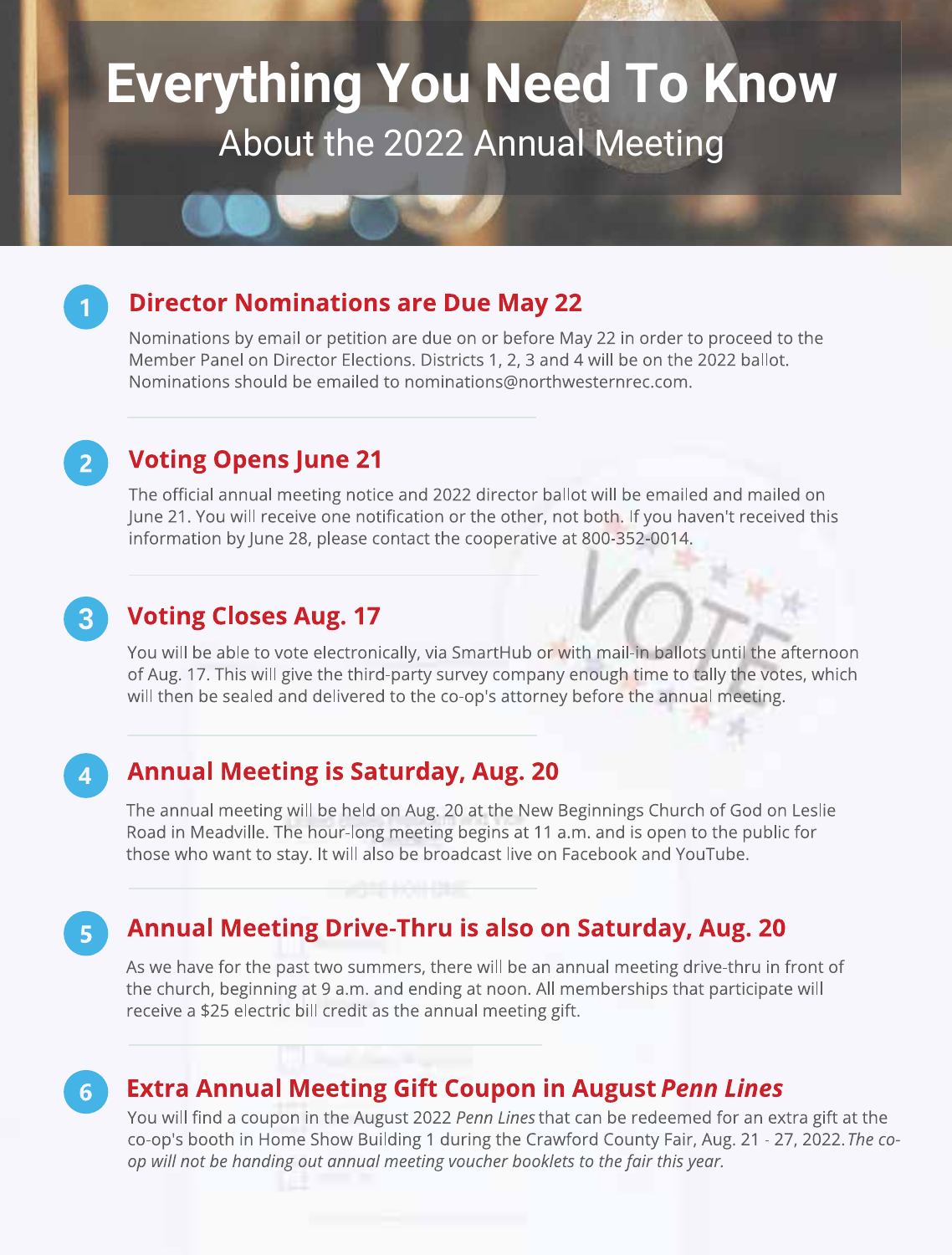# **Everything You Need To Know** About the 2022 Annual Meeting

### **Director Nominations are Due May 22**

Nominations by email or petition are due on or before May 22 in order to proceed to the Member Panel on Director Elections. Districts 1, 2, 3 and 4 will be on the 2022 ballot. Nominations should be emailed to nominations@northwesternrec.com.

### **Voting Opens June 21**

The official annual meeting notice and 2022 director ballot will be emailed and mailed on June 21. You will receive one notification or the other, not both. If you haven't received this information by June 28, please contact the cooperative at 800-352-0014.

### **Voting Closes Aug. 17**

You will be able to vote electronically, via SmartHub or with mail-in ballots until the afternoon of Aug. 17. This will give the third-party survey company enough time to tally the votes, which will then be sealed and delivered to the co-op's attorney before the annual meeting.

### $\overline{\mathbf{A}}$

 $5<sup>1</sup>$ 

 $3<sup>°</sup>$ 

 $2<sup>1</sup>$ 

### **Annual Meeting is Saturday, Aug. 20**

The annual meeting will be held on Aug. 20 at the New Beginnings Church of God on Leslie Road in Meadville. The hour-long meeting begins at 11 a.m. and is open to the public for those who want to stay. It will also be broadcast live on Facebook and YouTube.

### Annual Meeting Drive-Thru is also on Saturday, Aug. 20

As we have for the past two summers, there will be an annual meeting drive-thru in front of the church, beginning at 9 a.m. and ending at noon. All memberships that participate will receive a \$25 electric bill credit as the annual meeting gift.

#### **Extra Annual Meeting Gift Coupon in August Penn Lines**  $\overline{6}$

You will find a coupon in the August 2022 Penn Lines that can be redeemed for an extra gift at the co-op's booth in Home Show Building 1 during the Crawford County Fair, Aug. 21 - 27, 2022. The coop will not be handing out annual meeting voucher booklets to the fair this year.